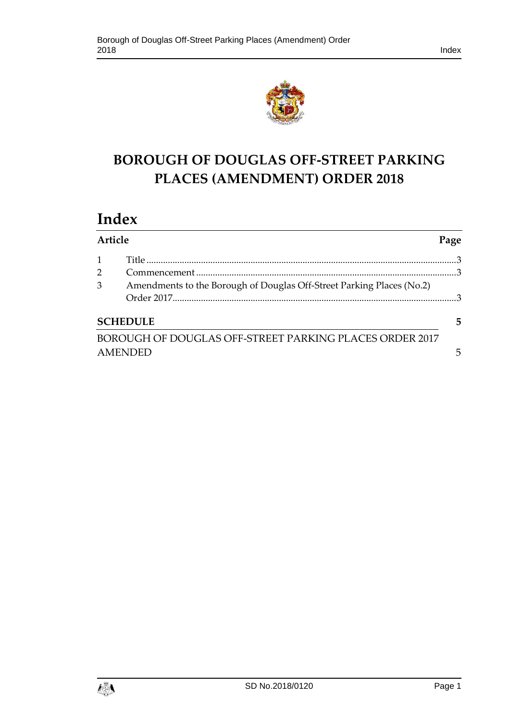



# **BOROUGH OF DOUGLAS OFF-STREET PARKING PLACES (AMENDMENT) ORDER 2018**

# **Index**

| Article |                                                                       | Page |  |  |  |  |  |
|---------|-----------------------------------------------------------------------|------|--|--|--|--|--|
|         |                                                                       |      |  |  |  |  |  |
|         |                                                                       |      |  |  |  |  |  |
| 3       | Amendments to the Borough of Douglas Off-Street Parking Places (No.2) |      |  |  |  |  |  |
|         |                                                                       |      |  |  |  |  |  |
|         | <b>SCHEDULE</b>                                                       | 5    |  |  |  |  |  |
|         | BOROUGH OF DOUGLAS OFF-STREET PARKING PLACES ORDER 2017               |      |  |  |  |  |  |
|         | <b>AMENDED</b>                                                        |      |  |  |  |  |  |

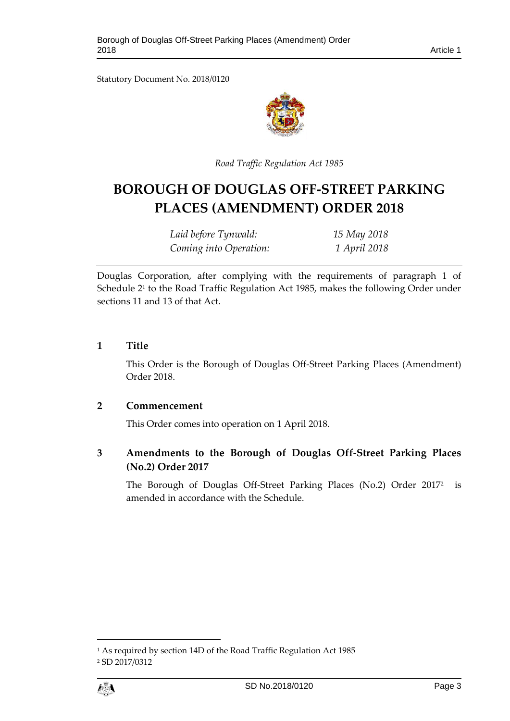Statutory Document No. 2018/0120



*Road Traffic Regulation Act 1985*

# **BOROUGH OF DOUGLAS OFF-STREET PARKING PLACES (AMENDMENT) ORDER 2018**

*Laid before Tynwald: 15 May 2018 Coming into Operation: 1 April 2018*

Douglas Corporation, after complying with the requirements of paragraph 1 of Schedule 2<sup>1</sup> to the Road Traffic Regulation Act 1985, makes the following Order under sections 11 and 13 of that Act.

#### <span id="page-2-0"></span>**1 Title**

This Order is the Borough of Douglas Off-Street Parking Places (Amendment) Order 2018.

#### <span id="page-2-1"></span>**2 Commencement**

This Order comes into operation on 1 April 2018.

<span id="page-2-2"></span>**3 Amendments to the Borough of Douglas Off-Street Parking Places (No.2) Order 2017**

The Borough of Douglas Off-Street Parking Places (No.2) Order 2017<sup>2</sup> is amended in accordance with the Schedule.

<sup>1</sup> As required by section 14D of the Road Traffic Regulation Act 1985 <sup>2</sup> SD 2017/0312



 $\overline{a}$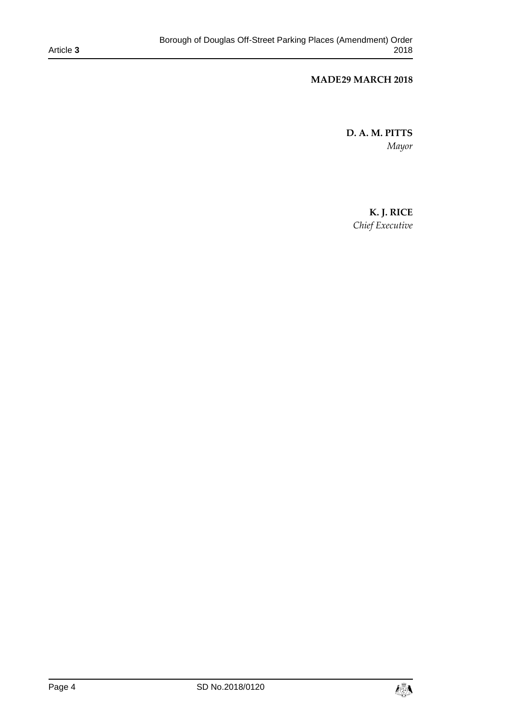#### **MADE29 MARCH 2018**

**D. A. M. PITTS** *Mayor* 

> **K. J. RICE** *Chief Executive*

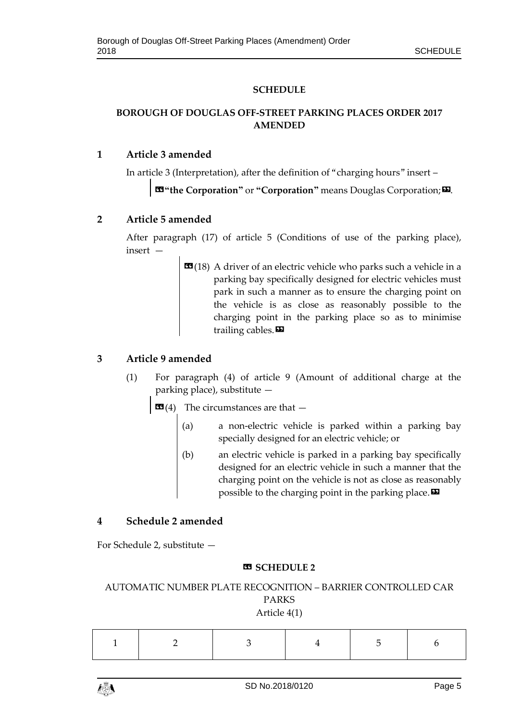#### **SCHEDULE**

### <span id="page-4-1"></span><span id="page-4-0"></span>**BOROUGH OF DOUGLAS OFF-STREET PARKING PLACES ORDER 2017 AMENDED**

#### **1 Article 3 amended**

In article 3 (Interpretation), after the definition of "charging hours" insert –

 $\textbf{K}^{\text{u}}$  **the Corporation"** or "Corporation" means Douglas Corporation;

#### **2 Article 5 amended**

After paragraph (17) of article 5 (Conditions of use of the parking place), insert —

> **(18) A driver of an electric vehicle who parks such a vehicle in a** parking bay specifically designed for electric vehicles must park in such a manner as to ensure the charging point on the vehicle is as close as reasonably possible to the charging point in the parking place so as to minimise trailing cables. $\boldsymbol{\mathsf{E}}$

### **3 Article 9 amended**

- (1) For paragraph (4) of article 9 (Amount of additional charge at the parking place), substitute —
	- **The circumstances are that**  $-$ 
		- (a) a non-electric vehicle is parked within a parking bay specially designed for an electric vehicle; or
		- (b) an electric vehicle is parked in a parking bay specifically designed for an electric vehicle in such a manner that the charging point on the vehicle is not as close as reasonably possible to the charging point in the parking place.  $\boldsymbol{\mathsf{D}}$

## **4 Schedule 2 amended**

For Schedule 2, substitute —

#### **« SCHEDULE 2**

AUTOMATIC NUMBER PLATE RECOGNITION – BARRIER CONTROLLED CAR PARKS Article 4(1)

|--|

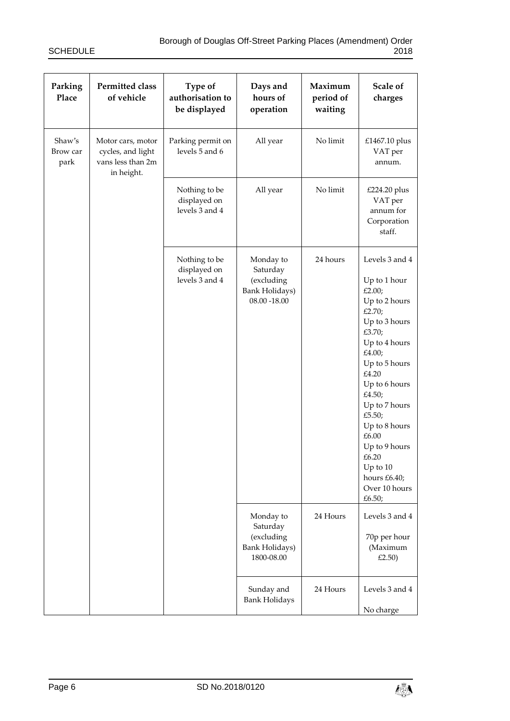| Parking<br>Place           | <b>Permitted class</b><br>of vehicle                                      | Type of<br>authorisation to<br>be displayed     | Days and<br>hours of<br>operation                                          | Maximum<br>period of<br>waiting | Scale of<br>charges                                                                                                                                                                                                                                                                                                  |
|----------------------------|---------------------------------------------------------------------------|-------------------------------------------------|----------------------------------------------------------------------------|---------------------------------|----------------------------------------------------------------------------------------------------------------------------------------------------------------------------------------------------------------------------------------------------------------------------------------------------------------------|
| Shaw's<br>Brow car<br>park | Motor cars, motor<br>cycles, and light<br>vans less than 2m<br>in height. | Parking permit on<br>levels 5 and 6             | All year                                                                   | No limit                        | £1467.10 plus<br>VAT per<br>annum.                                                                                                                                                                                                                                                                                   |
|                            |                                                                           | Nothing to be<br>displayed on<br>levels 3 and 4 | All year                                                                   | No limit                        | £224.20 plus<br>VAT per<br>annum for<br>Corporation<br>staff.                                                                                                                                                                                                                                                        |
|                            |                                                                           | Nothing to be<br>displayed on<br>levels 3 and 4 | Monday to<br>Saturday<br>(excluding<br>Bank Holidays)<br>$08.00 - 18.00$   | 24 hours                        | Levels 3 and 4<br>Up to 1 hour<br>£2.00;<br>Up to 2 hours<br>£2.70;<br>Up to 3 hours<br>£3.70;<br>Up to 4 hours<br>£4.00;<br>Up to 5 hours<br>£4.20<br>Up to 6 hours<br>£4.50;<br>Up to 7 hours<br>£5.50;<br>Up to 8 hours<br>£6.00<br>Up to 9 hours<br>£6.20<br>Up to 10<br>hours £6.40;<br>Over 10 hours<br>£6.50; |
|                            |                                                                           |                                                 | Monday to<br>Saturday<br>(excluding<br><b>Bank Holidays)</b><br>1800-08.00 | 24 Hours                        | Levels 3 and 4<br>70p per hour<br>(Maximum<br>£2.50)                                                                                                                                                                                                                                                                 |
|                            |                                                                           |                                                 | Sunday and<br><b>Bank Holidays</b>                                         | 24 Hours                        | Levels 3 and 4<br>No charge                                                                                                                                                                                                                                                                                          |

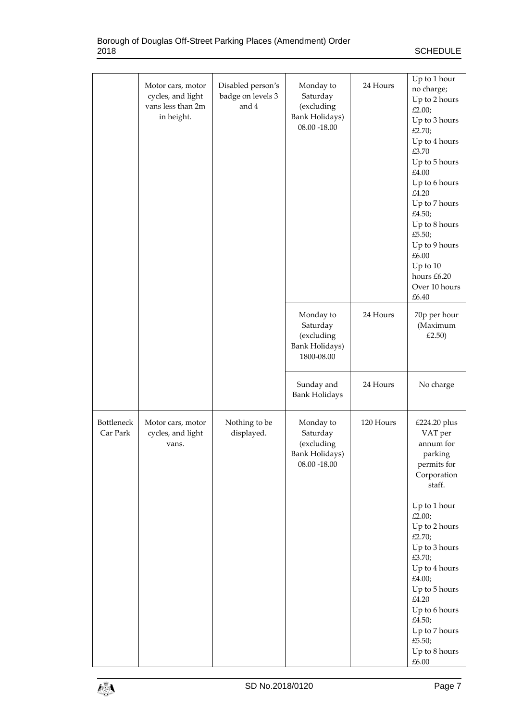|                               | Motor cars, motor<br>cycles, and light<br>vans less than 2m<br>in height. | Disabled person's<br>badge on levels 3<br>and 4 | Monday to<br>Saturday<br>(excluding<br><b>Bank Holidays)</b><br>$08.00 - 18.00$ | 24 Hours  | Up to 1 hour<br>no charge;<br>Up to 2 hours<br>£2.00;<br>Up to 3 hours<br>£2.70;<br>Up to 4 hours<br>£3.70<br>Up to 5 hours<br>£4.00<br>Up to 6 hours<br>£4.20<br>Up to 7 hours<br>£4.50;<br>Up to 8 hours<br>£5.50;<br>Up to 9 hours<br>£6.00<br>Up to 10<br>hours £6.20<br>Over 10 hours<br>£6.40          |
|-------------------------------|---------------------------------------------------------------------------|-------------------------------------------------|---------------------------------------------------------------------------------|-----------|--------------------------------------------------------------------------------------------------------------------------------------------------------------------------------------------------------------------------------------------------------------------------------------------------------------|
|                               |                                                                           |                                                 | Monday to<br>Saturday<br>(excluding<br><b>Bank Holidays)</b><br>1800-08.00      | 24 Hours  | 70p per hour<br>(Maximum<br>£2.50)                                                                                                                                                                                                                                                                           |
|                               |                                                                           |                                                 | Sunday and<br><b>Bank Holidays</b>                                              | 24 Hours  | No charge                                                                                                                                                                                                                                                                                                    |
| <b>Bottleneck</b><br>Car Park | Motor cars, motor<br>cycles, and light<br>vans.                           | Nothing to be<br>displayed.                     | Monday to<br>Saturday<br>(excluding<br><b>Bank Holidays)</b><br>$08.00 - 18.00$ | 120 Hours | £224.20 plus<br>VAT per<br>annum for<br>parking<br>permits for<br>Corporation<br>staff.<br>Up to 1 hour<br>£2.00;<br>Up to 2 hours<br>£2.70;<br>Up to 3 hours<br>£3.70;<br>Up to 4 hours<br>£4.00;<br>Up to 5 hours<br>£4.20<br>Up to 6 hours<br>£4.50;<br>Up to 7 hours<br>£5.50;<br>Up to 8 hours<br>£6.00 |

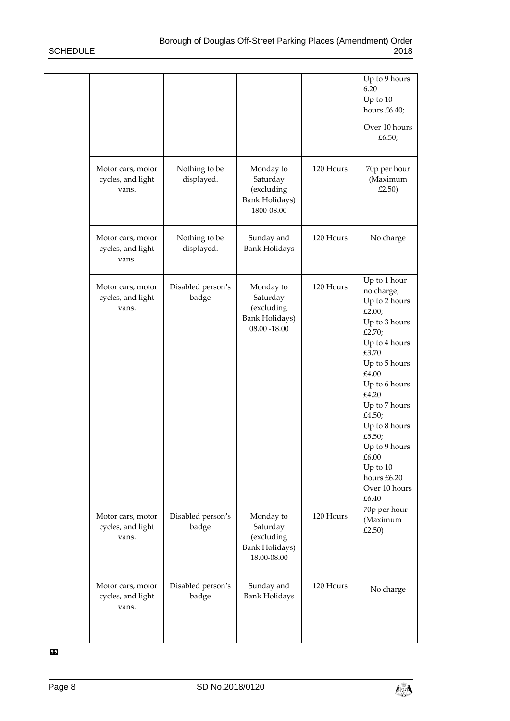|                                                 |                             |                                                                                 |           | Up to 9 hours<br>6.20<br>Up to 10<br>hours £6.40;<br>Over 10 hours<br>£6.50;                                                                                                                                                                                                                        |
|-------------------------------------------------|-----------------------------|---------------------------------------------------------------------------------|-----------|-----------------------------------------------------------------------------------------------------------------------------------------------------------------------------------------------------------------------------------------------------------------------------------------------------|
| Motor cars, motor<br>cycles, and light<br>vans. | Nothing to be<br>displayed. | Monday to<br>Saturday<br>(excluding<br><b>Bank Holidays)</b><br>1800-08.00      | 120 Hours | 70p per hour<br>(Maximum<br>£2.50)                                                                                                                                                                                                                                                                  |
| Motor cars, motor<br>cycles, and light<br>vans. | Nothing to be<br>displayed. | Sunday and<br><b>Bank Holidays</b>                                              | 120 Hours | No charge                                                                                                                                                                                                                                                                                           |
| Motor cars, motor<br>cycles, and light<br>vans. | Disabled person's<br>badge  | Monday to<br>Saturday<br>(excluding<br><b>Bank Holidays)</b><br>$08.00 - 18.00$ | 120 Hours | Up to 1 hour<br>no charge;<br>Up to 2 hours<br>£2.00;<br>Up to 3 hours<br>£2.70;<br>Up to 4 hours<br>£3.70<br>Up to 5 hours<br>£4.00<br>Up to 6 hours<br>£4.20<br>Up to 7 hours<br>£4.50;<br>Up to 8 hours<br>£5.50;<br>Up to 9 hours<br>£6.00<br>Up to 10<br>hours £6.20<br>Over 10 hours<br>£6.40 |
| Motor cars, motor<br>cycles, and light<br>vans. | Disabled person's<br>badge  | Monday to<br>Saturday<br>(excluding<br>Bank Holidays)<br>18.00-08.00            | 120 Hours | 70p per hour<br>(Maximum<br>£2.50)                                                                                                                                                                                                                                                                  |
| Motor cars, motor<br>cycles, and light<br>vans. | Disabled person's<br>badge  | Sunday and<br><b>Bank Holidays</b>                                              | 120 Hours | No charge                                                                                                                                                                                                                                                                                           |

»

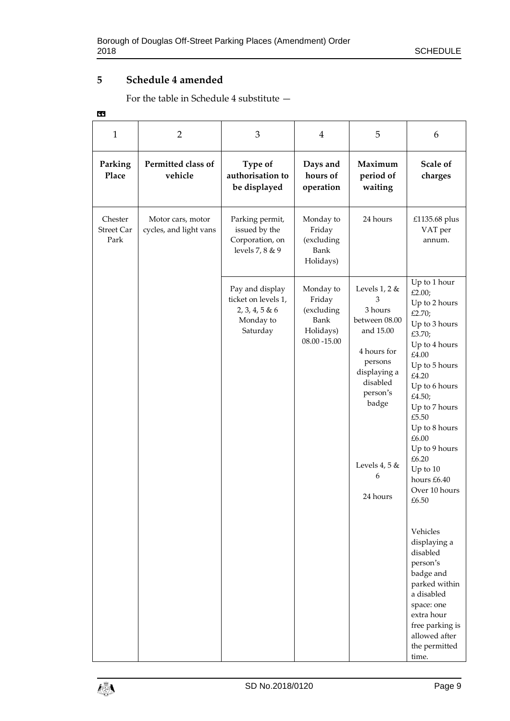## **5 Schedule 4 amended**

For the table in Schedule 4 substitute —

| ×.<br>٠. |  |
|----------|--|

| 1                                    | $\overline{2}$                              | 3                                                                                 | 4                                                                         | 5                                                                                                                                                                            | 6                                                                                                                                                                                                                                                                                              |
|--------------------------------------|---------------------------------------------|-----------------------------------------------------------------------------------|---------------------------------------------------------------------------|------------------------------------------------------------------------------------------------------------------------------------------------------------------------------|------------------------------------------------------------------------------------------------------------------------------------------------------------------------------------------------------------------------------------------------------------------------------------------------|
| Parking<br>Place                     | Permitted class of<br>vehicle               | Type of<br>authorisation to<br>be displayed                                       | Days and<br>hours of<br>operation                                         | Maximum<br>period of<br>waiting                                                                                                                                              | Scale of<br>charges                                                                                                                                                                                                                                                                            |
| Chester<br><b>Street Car</b><br>Park | Motor cars, motor<br>cycles, and light vans | Parking permit,<br>issued by the<br>Corporation, on<br>levels 7, 8 & 9            | Monday to<br>Friday<br>(excluding<br>Bank<br>Holidays)                    | 24 hours                                                                                                                                                                     | £1135.68 plus<br>VAT per<br>annum.                                                                                                                                                                                                                                                             |
|                                      |                                             | Pay and display<br>ticket on levels 1,<br>2, 3, 4, 5 & 6<br>Monday to<br>Saturday | Monday to<br>Friday<br>(excluding<br>Bank<br>Holidays)<br>$08.00 - 15.00$ | Levels $1, 2$ &<br>3<br>3 hours<br>between 08.00<br>and 15.00<br>4 hours for<br>persons<br>displaying a<br>disabled<br>person's<br>badge<br>Levels 4, 5 $&$<br>6<br>24 hours | Up to 1 hour<br>£2.00;<br>Up to 2 hours<br>£2.70;<br>Up to 3 hours<br>£3.70;<br>Up to 4 hours<br>£4.00<br>Up to 5 hours<br>£4.20<br>Up to 6 hours<br>£4.50;<br>Up to 7 hours<br>£5.50<br>Up to 8 hours<br>£6.00<br>Up to 9 hours<br>£6.20<br>Up to 10<br>hours £6.40<br>Over 10 hours<br>£6.50 |
|                                      |                                             |                                                                                   |                                                                           |                                                                                                                                                                              | Vehicles<br>displaying a<br>disabled<br>person's<br>badge and<br>parked within<br>a disabled<br>space: one<br>extra hour<br>free parking is<br>allowed after<br>the permitted<br>time.                                                                                                         |

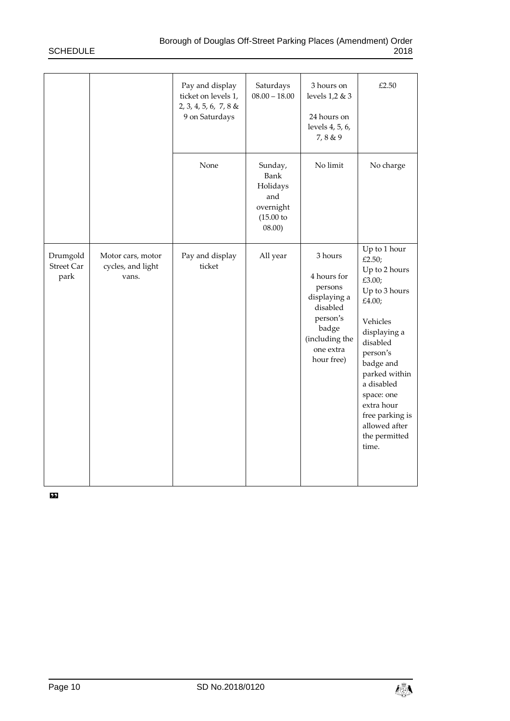|                                       |                                                 | Pay and display<br>ticket on levels 1,<br>2, 3, 4, 5, 6, 7, 8 &<br>9 on Saturdays | Saturdays<br>$08.00 - 18.00$                                               | 3 hours on<br>levels 1,2 & 3<br>24 hours on<br>levels 4, 5, 6,<br>7,8 & 9                                                       | £2.50                                                                                                                                                                                                                                                                  |
|---------------------------------------|-------------------------------------------------|-----------------------------------------------------------------------------------|----------------------------------------------------------------------------|---------------------------------------------------------------------------------------------------------------------------------|------------------------------------------------------------------------------------------------------------------------------------------------------------------------------------------------------------------------------------------------------------------------|
|                                       |                                                 | None                                                                              | Sunday,<br>Bank<br>Holidays<br>and<br>overnight<br>$(15.00)$ to<br>(08.00) | No limit                                                                                                                        | No charge                                                                                                                                                                                                                                                              |
| Drumgold<br><b>Street Car</b><br>park | Motor cars, motor<br>cycles, and light<br>vans. | Pay and display<br>ticket                                                         | All year                                                                   | 3 hours<br>4 hours for<br>persons<br>displaying a<br>disabled<br>person's<br>badge<br>(including the<br>one extra<br>hour free) | Up to 1 hour<br>£2.50;<br>Up to 2 hours<br>£3.00;<br>Up to 3 hours<br>£4.00;<br>Vehicles<br>displaying a<br>disabled<br>person's<br>badge and<br>parked within<br>a disabled<br>space: one<br>extra hour<br>free parking is<br>allowed after<br>the permitted<br>time. |

 $\overline{\mathbf{v}}$